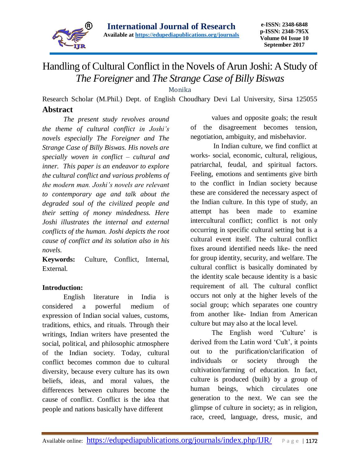

## Handling of Cultural Conflict in the Novels of Arun Joshi: A Study of *The Foreigner* and *The Strange Case of Billy Biswas*

Monika

Research Scholar (M.Phil.) Dept. of English Choudhary Devi Lal University, Sirsa 125055 **Abstract**

*The present study revolves around the theme of cultural conflict in Joshi's novels especially The Foreigner and The Strange Case of Billy Biswas. His novels are specially woven in conflict – cultural and inner. This paper is an endeavor to explore the cultural conflict and various problems of the modern man. Joshi's novels are relevant to contemporary age and talk about the degraded soul of the civilized people and their setting of money mindedness. Here Joshi illustrates the internal and external conflicts of the human. Joshi depicts the root cause of conflict and its solution also in his novels.*

**Keywords:** Culture, Conflict, Internal, External.

## **Introduction:**

English literature in India is considered a powerful medium of expression of Indian social values, customs, traditions, ethics, and rituals. Through their writings, Indian writers have presented the social, political, and philosophic atmosphere of the Indian society. Today, cultural conflict becomes common due to cultural diversity, because every culture has its own beliefs, ideas, and moral values, the differences between cultures become the cause of conflict. Conflict is the idea that people and nations basically have different

values and opposite goals; the result of the disagreement becomes tension, negotiation, ambiguity, and misbehavior.

In Indian culture, we find conflict at works- social, economic, cultural, religious, patriarchal, feudal, and spiritual factors. Feeling, emotions and sentiments give birth to the conflict in Indian society because these are considered the necessary aspect of the Indian culture. In this type of study, an attempt has been made to examine intercultural conflict; conflict is not only occurring in specific cultural setting but is a cultural event itself. The cultural conflict fixes around identified needs like- the need for group identity, security, and welfare. The cultural conflict is basically dominated by the identity scale because identity is a basic requirement of all. The cultural conflict occurs not only at the higher levels of the social group; which separates one country from another like- Indian from American culture but may also at the local level.

The English word 'Culture' is derived from the Latin word 'Cult', it points out to the purification/clarification of individuals or society through the cultivation/farming of education. In fact, culture is produced (built) by a group of human beings, which circulates one generation to the next. We can see the glimpse of culture in society; as in religion, race, creed, language, dress, music, and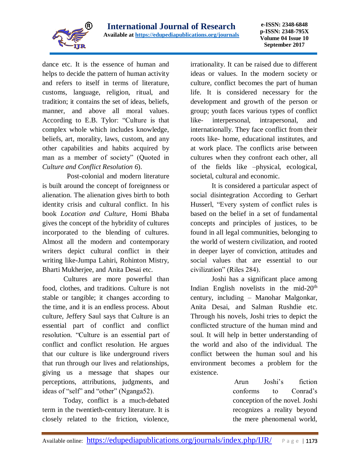

dance etc. It is the essence of human and helps to decide the pattern of human activity and refers to itself in terms of literature, customs, language, religion, ritual, and tradition; it contains the set of ideas, beliefs, manner, and above all moral values. According to E.B. Tylor: "Culture is that complex whole which includes knowledge, beliefs, art, morality, laws, custom, and any other capabilities and habits acquired by man as a member of society" (Quoted in *Culture and Conflict Resolution 6*).

Post-colonial and modern literature is built around the concept of foreignness or alienation. The alienation gives birth to both identity crisis and cultural conflict. In his book *Location and Culture,* Homi Bhaba gives the concept of the hybridity of cultures incorporated to the blending of cultures. Almost all the modern and contemporary writers depict cultural conflict in their writing like-Jumpa Lahiri, Rohinton Mistry, Bharti Mukherjee, and Anita Desai etc.

Cultures are more powerful than food, clothes, and traditions. Culture is not stable or tangible; it changes according to the time, and it is an endless process. About culture, Jeffery Saul says that Culture is an essential part of conflict and conflict resolution. "Culture is an essential part of conflict and conflict resolution. He argues that our culture is like underground rivers that run through our lives and relationships, giving us a message that shapes our perceptions, attributions, judgments, and ideas of "self" and "other" (Nganga52).

Today, conflict is a much-debated term in the twentieth-century literature. It is closely related to the friction, violence,

irrationality. It can be raised due to different ideas or values. In the modern society or culture, conflict becomes the part of human life. It is considered necessary for the development and growth of the person or group; youth faces various types of conflict like- interpersonal, intrapersonal, and internationally. They face conflict from their roots like- home, educational institutes, and at work place. The conflicts arise between cultures when they confront each other, all of the fields like –physical, ecological, societal, cultural and economic.

It is considered a particular aspect of social disintegration According to Gerhart Husserl, "Every system of conflict rules is based on the belief in a set of fundamental concepts and principles of justices, to be found in all legal communities, belonging to the world of western civilization, and rooted in deeper layer of conviction, attitudes and social values that are essential to our civilization" (Riles 284).

Joshi has a significant place among Indian English novelists in the mid- $20<sup>th</sup>$ century, including – Manohar Malgonkar, Anita Desai, and Salman Rushdie etc. Through his novels, Joshi tries to depict the conflicted structure of the human mind and soul. It will help in better understanding of the world and also of the individual. The conflict between the human soul and his environment becomes a problem for the existence.

> Arun Joshi's fiction conforms to Conrad's conception of the novel. Joshi recognizes a reality beyond the mere phenomenal world,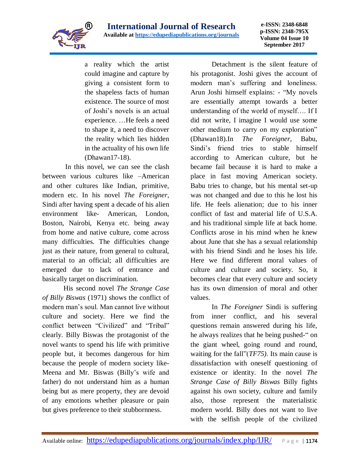

a reality which the artist could imagine and capture by giving a consistent form to the shapeless facts of human existence. The source of most of Joshi's novels is an actual experience. …He feels a need to shape it, a need to discover the reality which lies hidden in the actuality of his own life (Dhawan17-18).

In this novel, we can see the clash between various cultures like –American and other cultures like Indian, primitive, modern etc. In his novel *The Foreigner,*  Sindi after having spent a decade of his alien environment like- American, London, Boston, Nairobi, Kenya etc. being away from home and native culture, come across many difficulties. The difficulties change just as their nature, from general to cultural, material to an official; all difficulties are emerged due to lack of entrance and basically target on discrimination.

His second novel *The Strange Case of Billy Biswas* (1971) shows the conflict of modern man's soul. Man cannot live without culture and society. Here we find the conflict between "Civilized" and "Tribal" clearly. Billy Biswas the protagonist of the novel wants to spend his life with primitive people but, it becomes dangerous for him because the people of modern society like-Meena and Mr. Biswas (Billy's wife and father) do not understand him as a human being but as mere property, they are devoid of any emotions whether pleasure or pain but gives preference to their stubbornness.

Detachment is the silent feature of his protagonist. Joshi gives the account of modern man's suffering and loneliness. Arun Joshi himself explains: - "My novels are essentially attempt towards a better understanding of the world of myself…. If I did not write, I imagine I would use some other medium to carry on my exploration" (Dhawan18).In *The Foreigner,* Babu, Sindi's friend tries to stable himself according to American culture, but he became fail because it is hard to make a place in fast moving American society. Babu tries to change, but his mental set-up was not changed and due to this he lost his life. He feels alienation; due to his inner conflict of fast and material life of U.S.A. and his traditional simple life at back home. Conflicts arose in his mind when he knew about June that she has a sexual relationship with his friend Sindi and he loses his life. Here we find different moral values of culture and culture and society. So, it becomes clear that every culture and society has its own dimension of moral and other values.

In *The Foreigner* Sindi is suffering from inner conflict, and his several questions remain answered during his life, he always realizes that he being pushed-" on the giant wheel, going round and round, waiting for the fall"(*TF75).* Its main cause is dissatisfaction with oneself questioning of existence or identity. In the novel *The Strange Case of Billy Biswas* Billy fights against his own society, culture and family also, those represent the materialistic modern world. Billy does not want to live with the selfish people of the civilized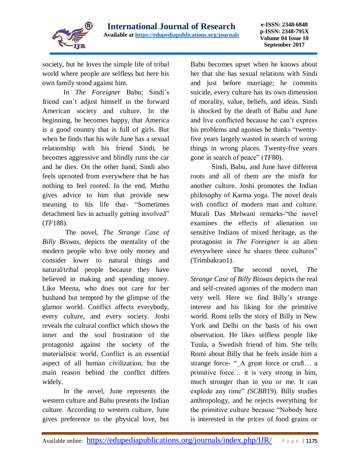

society, but he loves the simple life of tribal world where people are selfless but here his own family stood against him.

In *The Foreigner* Babu; Sindi's friend can't adjust himself in the forward American society and culture. In the beginning, he becomes happy, that America is a good country that is full of girls. But when he finds that his wife June has a sexual relationship with his friend Sindi, he becomes aggressive and blindly runs the car and he dies. On the other hand, Sindi also feels uprooted from everywhere that he has nothing to feel rooted. In the end, Muthu gives advice to him that provide new meaning to his life that- "Sometimes detachment lies in actually getting involved" (*TF*188).

The novel, *The Strange Case of Billy Biswas*, depicts the mentality of the modern people who love only money and consider lower to natural things and natural/tribal people because they have believed in making and spending money. Like Meena, who does not care for her husband but tempted by the glimpse of the glamor world. Conflict affects everybody, every culture, and every society. Joshi reveals the cultural conflict which shows the inner and the soul frustration of the protagonist against the society of the materialistic world. Conflict is an essential aspect of all human civilization, but the main reason behind the conflict differs widely.

In the novel, June represents the western culture and Babu presents the Indian culture. According to western culture, June gives preference to the physical love, but

Babu becomes upset when he knows about her that she has sexual relations with Sindi and just before marriage; he commits suicide, every culture has its own dimension of morality, value, beliefs, and ideas. Sindi is shocked by the death of Babu and June and live conflicted because he can't express his problems and agonies he thinks "twentyfive years largely wasted in search of wrong things in wrong places. Twenty-five years gone in search of peace" (*TF*80).

Sindi, Babu, and June have different roots and all of them are the misfit for another culture. Joshi promotes the Indian philosophy of Karma yoga. The novel deals with conflict of modern man and culture. Murali Das Melwani remarks-"the novel examines the effects of alienation on sensitive Indians of mixed heritage, as the protagonist in *The Foreigner* is an alien everywhere since he shares three cultures" (Trimbakrao1).

The second novel, *The Strange Case of Billy Biswas* depicts the real and self-created agonies of the modern man very well. Here we find Billy's strange interest and his liking for the primitive world. Romi tells the story of Billy in New York and Delhi on the basis of his own observation. He likes selfless people like Tuula, a Swedish friend of him. She tells Romi about Billy that he feels inside him a strange force- " A great force or craft... a primitive force… it is very strong in him, much stronger than in you or me. It can explode any time" *(SCBB*19). Billy studies anthropology, and he rejects everything for the primitive culture because "Nobody here is interested in the prices of food grains or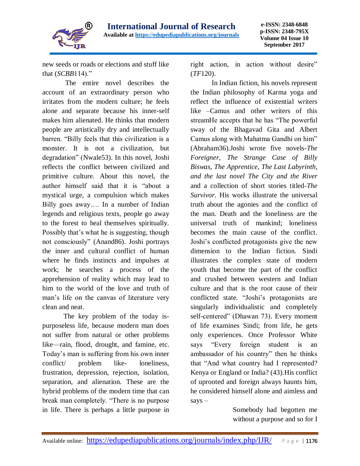

new seeds or roads or elections and stuff like that (*SCBB*114)."

The entire novel describes the account of an extraordinary person who irritates from the modern culture; he feels alone and separate because his inner-self makes him alienated. He thinks that modern people are artistically dry and intellectually barren. "Billy feels that this civilization is a monster. It is not a civilization, but degradation" (Nwale53). In this novel, Joshi reflects the conflict between civilized and primitive culture. About this novel, the author himself said that it is "about a mystical urge, a compulsion which makes Billy goes away…. In a number of Indian legends and religious texts, people go away to the forest to heal themselves spiritually. Possibly that's what he is suggesting, though not consciously" (Anand86). Joshi portrays the inner and cultural conflict of human where he finds instincts and impulses at work; he searches a process of the apprehension of reality which may lead to him to the world of the love and truth of man's life on the canvas of literature very clean and neat.

The key problem of the today ispurposeless life, because modern man does not suffer from natural or other problems like—rain, flood, drought, and famine, etc. Today's man is suffering from his own inner conflict/ problem like- loneliness, frustration, depression, rejection, isolation, separation, and alienation. These are the hybrid problems of the modern time that can break man completely. "There is no purpose in life. There is perhaps a little purpose in

right action, in action without desire" (*TF*120).

In Indian fiction, his novels represent the Indian philosophy of Karma yoga and reflect the influence of existential writers like –Camus and other writers of this streamHe accepts that he has "The powerful sway of the Bhagavad Gita and Albert Camus along with Mahatma Gandhi on him" (Abraham36).Joshi wrote five novels-*The Foreigner, The Strange Case of Billy Biswas, The Apprentice, The Last Labyrinth, and the last novel The City and the River* and a collection of short stories titled*-The Survivor*. His works illustrate the universal truth about the agonies and the conflict of the man. Death and the loneliness are the universal truth of mankind; loneliness becomes the main cause of the conflict. Joshi's conflicted protagonists give the new dimension to the Indian fiction. Sindi illustrates the complex state of modern youth that become the part of the conflict and crushed between western and Indian culture and that is the root cause of their conflicted state. "Joshi's protagonists are singularly individualistic and completely self-centered" (Dhawan 73). Every moment of life examines Sindi; from life, he gets only experiences. Once Professor White says "Every foreign student is an ambassador of his country" then he thinks that "And what country had I represented? Kenya or England or India? (43).His conflict of uprooted and foreign always haunts him, he considered himself alone and aimless and says –

> Somebody had begotten me without a purpose and so for I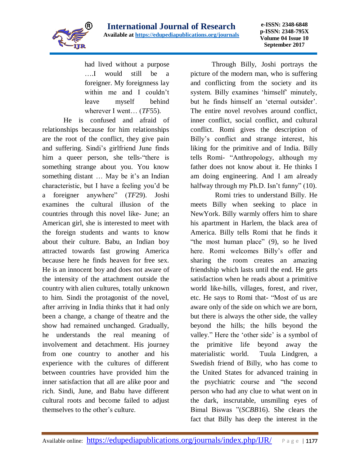

had lived without a purpose ….I would still be a foreigner. My foreignness lay within me and I couldn't leave myself behind wherever I went… (*TF*55).

He is confused and afraid of relationships because for him relationships are the root of the conflict, they give pain and suffering. Sindi's girlfriend June finds him a queer person, she tells-"there is something strange about you. You know something distant … May be it's an Indian characteristic, but I have a feeling you'd be a foreigner anywhere" (*TF*29). Joshi examines the cultural illusion of the countries through this novel like- June; an American girl, she is interested to meet with the foreign students and wants to know about their culture. Babu, an Indian boy attracted towards fast growing America because here he finds heaven for free sex. He is an innocent boy and does not aware of the intensity of the attachment outside the country with alien cultures, totally unknown to him. Sindi the protagonist of the novel, after arriving in India thinks that it had only been a change, a change of theatre and the show had remained unchanged. Gradually, he understands the real meaning of involvement and detachment. His journey from one country to another and his experience with the cultures of different between countries have provided him the inner satisfaction that all are alike poor and rich. Sindi, June, and Babu have different cultural roots and become failed to adjust themselves to the other's culture.

Through Billy, Joshi portrays the picture of the modern man, who is suffering and conflicting from the society and its system. Billy examines 'himself' minutely, but he finds himself an 'eternal outsider'. The entire novel revolves around conflict, inner conflict, social conflict, and cultural conflict. Romi gives the description of Billy's conflict and strange interest, his liking for the primitive and of India. Billy tells Romi- "Anthropology, although my father does not know about it. He thinks I am doing engineering. And I am already halfway through my Ph.D. Isn't funny" (10).

 Romi tries to understand Billy. He meets Billy when seeking to place in NewYork. Billy warmly offers him to share his apartment in Harlem, the black area of America. Billy tells Romi that he finds it "the most human place" (9), so he lived here. Romi welcomes Billy's offer and sharing the room creates an amazing friendship which lasts until the end. He gets satisfaction when he reads about a primitive world like-hills, villages, forest, and river, etc. He says to Romi that- "Most of us are aware only of the side on which we are born, but there is always the other side, the valley beyond the hills; the hills beyond the valley." Here the 'other side' is a symbol of the primitive life beyond away the materialistic world. Tuula Lindgren, a Swedish friend of Billy, who has come to the United States for advanced training in the psychiatric course and "the second person who had any clue to what went on in the dark, inscrutable, unsmiling eyes of Bimal Biswas "(*SCBB*16). She clears the fact that Billy has deep the interest in the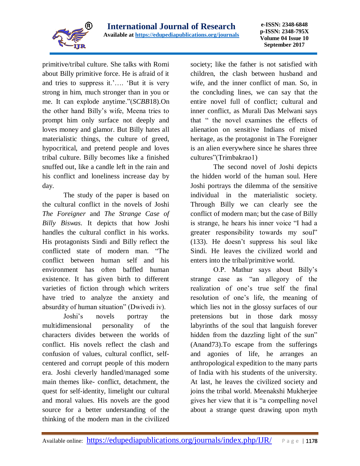

primitive/tribal culture. She talks with Romi about Billy primitive force. He is afraid of it and tries to suppress it.'…. 'But it is very strong in him, much stronger than in you or me. It can explode anytime."(*SCBB*18).On the other hand Billy's wife, Meena tries to prompt him only surface not deeply and loves money and glamor. But Billy hates all materialistic things, the culture of greed, hypocritical, and pretend people and loves tribal culture. Billy becomes like a finished snuffed out, like a candle left in the rain and his conflict and loneliness increase day by day.

The study of the paper is based on the cultural conflict in the novels of Joshi *The Foreigner* and *The Strange Case of Billy Biswas*. It depicts that how Joshi handles the cultural conflict in his works. His protagonists Sindi and Billy reflect the conflicted state of modern man. "The conflict between human self and his environment has often baffled human existence. It has given birth to different varieties of fiction through which writers have tried to analyze the anxiety and absurdity of human situation" (Dwivedi iv).

Joshi's novels portray the multidimensional personality of the characters divides between the worlds of conflict. His novels reflect the clash and confusion of values, cultural conflict, selfcentered and corrupt people of this modern era. Joshi cleverly handled/managed some main themes like- conflict, detachment, the quest for self-identity, limelight our cultural and moral values. His novels are the good source for a better understanding of the thinking of the modern man in the civilized

society; like the father is not satisfied with children, the clash between husband and wife, and the inner conflict of man. So, in the concluding lines, we can say that the entire novel full of conflict; cultural and inner conflict, as Murali Das Melwani says that " the novel examines the effects of alienation on sensitive Indians of mixed heritage, as the protagonist in The Foreigner is an alien everywhere since he shares three cultures"(Trimbakrao1)

The second novel of Joshi depicts the hidden world of the human soul. Here Joshi portrays the dilemma of the sensitive individual in the materialistic society. Through Billy we can clearly see the conflict of modern man; but the case of Billy is strange, he hears his inner voice "I had a greater responsibility towards my soul" (133). He doesn't suppress his soul like Sindi. He leaves the civilized world and enters into the tribal/primitive world.

O.P. Mathur says about Billy's strange case as "an allegory of the realization of one's true self the final resolution of one's life, the meaning of which lies not in the glossy surfaces of our pretensions but in those dark mossy labyrinths of the soul that languish forever hidden from the dazzling light of the sun" (Anand73).To escape from the sufferings and agonies of life, he arranges an anthropological expedition to the many parts of India with his students of the university. At last, he leaves the civilized society and joins the tribal world. Meenakshi Mukherjee gives her view that it is "a compelling novel about a strange quest drawing upon myth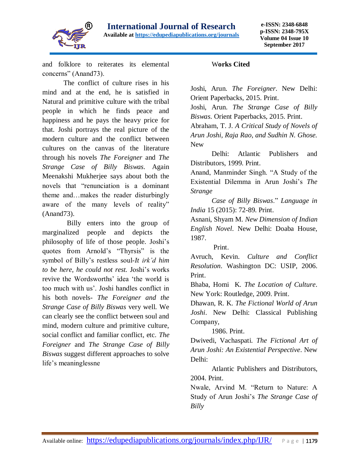

and folklore to reiterates its elemental concerns" (Anand73).

The conflict of culture rises in his mind and at the end, he is satisfied in Natural and primitive culture with the tribal people in which he finds peace and happiness and he pays the heavy price for that. Joshi portrays the real picture of the modern culture and the conflict between cultures on the canvas of the literature through his novels *The Foreigner* and *The Strange Case of Billy Biswas*. Again Meenakshi Mukherjee says about both the novels that "renunciation is a dominant theme and…makes the reader disturbingly aware of the many levels of reality" (Anand73).

 Billy enters into the group of marginalized people and depicts the philosophy of life of those people. Joshi's quotes from Arnold's "Thyrsis" is the symbol of Billy's restless soul-*It irk'd him to be here, he could not rest.* Joshi's works revive the Wordsworths' idea 'the world is too much with us'. Joshi handles conflict in his both novels- *The Foreigner and the Strange Case of Billy Biswas* very well. We can clearly see the conflict between soul and mind, modern culture and primitive culture, social conflict and familiar conflict, etc. *The Foreigner* and *The Strange Case of Billy Biswas* suggest different approaches to solve life's meaninglessne

## W**orks Cited**

Joshi, Arun. *The Foreigner*. New Delhi: Orient Paperbacks, 2015. Print.

Joshi, Arun. *The Strange Case of Billy Biswas*. Orient Paperbacks, 2015. Print.

Abraham, T. J. *A Critical Study of Novels of Arun Joshi, Raja Rao, and Sudhin N. Ghose.* New

Delhi: Atlantic Publishers and Distributors, 1999. Print.

Anand, Manminder Singh. "A Study of the Existential Dilemma in Arun Joshi's *The Strange* 

*Case of Billy Biswas*." *Language in India* 15 (2015): 72-89. Print.

Asnani, Shyam M. *New Dimension of Indian English Novel*. New Delhi: Doaba House, 1987.

Print.

Avruch, Kevin. *Culture and Conflict Resolution*. Washington DC: USIP, 2006. Print.

Bhaba, Homi K*. The Location of Culture*. New York: Routledge, 2009. Print.

Dhawan, R. K. *The Fictional World of Arun Joshi*. New Delhi: Classical Publishing Company,

1986. Print.

Dwivedi, Vachaspati. *The Fictional Art of Arun Joshi: An Existential Perspective*. New Delhi:

Atlantic Publishers and Distributors, 2004. Print.

Nwale, Arvind M. "Return to Nature: A Study of Arun Joshi's *The Strange Case of Billy*